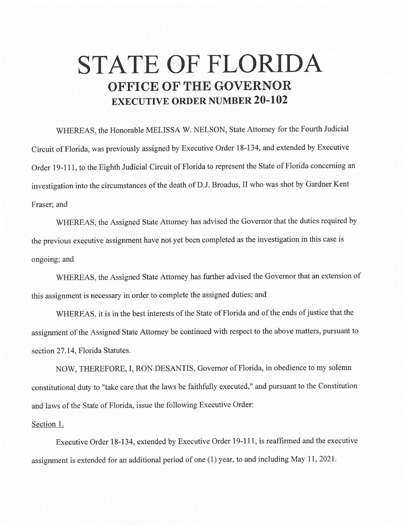## **STATE OF FLORIDA OFFICE OF THE GOVERNOR EXECUTIVE ORDER NUMBER 20-102**

WHEREAS, the Honorable MELISSA W. NELSON, State Attorney for the Fourth Judicial Circuit of Florida, was previously assigned by Executive Order 18-134, and extended by Executive Order 19-111, to the Eighth Judicial Circuit of Florida to represent the State of Florida concerning an investigation into the circumstances of the death of D.J. Broadus, II who was shot by Gardner Kent Fraser; and

WHEREAS, the Assigned State Attorney has advised the Governor that the duties required by the previous executive assignment have not yet been completed as the investigation in this case is ongoing; and

WHEREAS, the Assigned State Attorney has further advised the Governor that an extension of this assignment is necessary in order to complete the assigned duties; and

WHEREAS, it is in the best interests of the State of Florida and of the ends of justice that the assignment of the Assigned State Attorney be continued with respect to the above matters, pursuant to section 27 .14, Florida Statutes.

NOW, THEREFORE, I, RON DESANTIS, Governor of Florida, in obedience to my solemn constitutional duty to "take care that the laws be faithfully executed," and pursuant to the Constitution and laws of the State of Florida, issue the following Executive Order:

## Section 1.

Executive Order 18-134, extended by Executive Order 19-111, is reaffirmed and the executive assignment is extended for an additional period of one (1) year, to and including May 11, 2021.